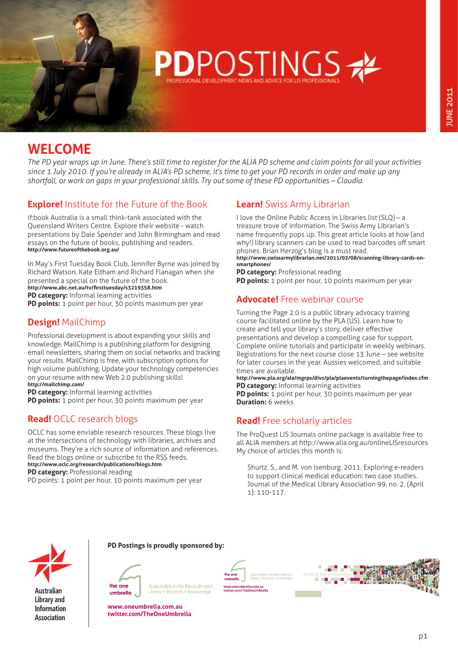

# **WELCOME**

*The PD year wraps up in June. There's still time to register for the ALIA PD scheme and claim points for all your activities since 1 July 2010. If you're already in ALIA's PD scheme, it's time to get your PD records in order and make up any shortfall, or work on gaps in your professional skills. Try out some of these PD opportunities – Claudia.*

# **Explore!** Institute for the Future of the Book

if:book Australia is a small think-tank associated with the Queensland Writers Centre. Explore their website - watch presentations by Dale Spender and John Birmingham and read essays on the future of books, publishing and readers. **<http://www.futureofthebook.org.au/>**

In May's First Tuesday Book Club, Jennifer Byrne was joined by Richard Watson, Kate Eltham and Richard Flanagan when she presented a special on the future of the book. **<http://www.abc.net.au/tv/firsttuesday/s3219358.htm> PD category:** Informal learning activities

**PD points:** 1 point per hour, 30 points maximum per year

# **Design!** MailChimp

Professional development is about expanding your skills and knowledge. MailChimp is a publishing platform for designing email newsletters, sharing them on social networks and tracking your results. MailChimp is free, with subscription options for high volume publishing. Update your technology competencies on your resume with new Web 2.0 publishing skills! **<http://mailchimp.com/>**

**PD category:** Informal learning activities

**PD points:** 1 point per hour, 30 points maximum per year

## **Read!** OCLC research blogs

OCLC has some enviable research resources. These blogs live at the intersections of technology with libraries, archives and museums. They're a rich source of information and references. Read the blogs online or subscribe to the RSS feeds. **<http://www.oclc.org/research/publications/blogs.htm>** 

**PD category:** Professional reading

PD points: 1 point per hour, 10 points maximum per year

## **Learn!** Swiss Army Librarian

I love the Online Public Access in Libraries list (SLQ) – a treasure trove of information. The Swiss Army Librarian's name frequently pops up. This great article looks at how (and why!) library scanners can be used to read barcodes off smart phones. Brian Herzog's blog is a must read.

[http://www.swissarmylibrarian.net/2011/02/08/scanning-library-cards-on](http://www.swissarmylibrarian.net/2011/02/08/scanning-library-cards-on-smartphones/)**[smartphones/](http://www.swissarmylibrarian.net/2011/02/08/scanning-library-cards-on-smartphones/)** 

**PD category:** Professional reading **PD points:** 1 point per hour, 10 points maximum per year

## **Advocate!** Free webinar course

Turning the Page 2.0 is a public library advocacy training course facilitated online by the PLA (US). Learn how to create and tell your library's story, deliver effective presentations and develop a compelling case for support. Complete online tutorials and participate in weekly webinars. Registrations for the next course close 13 June – see website for later courses in the year. Aussies welcomed, and suitable times are available.

**<http://www.pla.org/ala/mgrps/divs/pla/plaevents/turningthepage/index.cfm> PD category:** Informal learning activities

**PD points:** 1 point per hour, 30 points maximum per year **Duration:** 6 weeks

## **Read!** Free scholarly articles

The ProQuest LIS Journals online package is available free to all ALIA members at http://www.alia.org.au/onlineLISresources My choice of articles this month is:

Shurtz, S., and M. von Isenburg. 2011. Exploring e-readers to support clinical medical education: two case studies. Journal of the Medical Library Association 99, no. 2, (April 1): 110-117.



**Australian Library and Information Association** 

#### **PD Postings is proudly sponsored by:**



Specialists in IM Recruitment Library • Records • Kno

**[www.oneumbrella.com.au](http://www.oneumbrella.com.au) [twitter.com/TheOneUmbrella](http://twitter.com/TheOneUmbrella)**

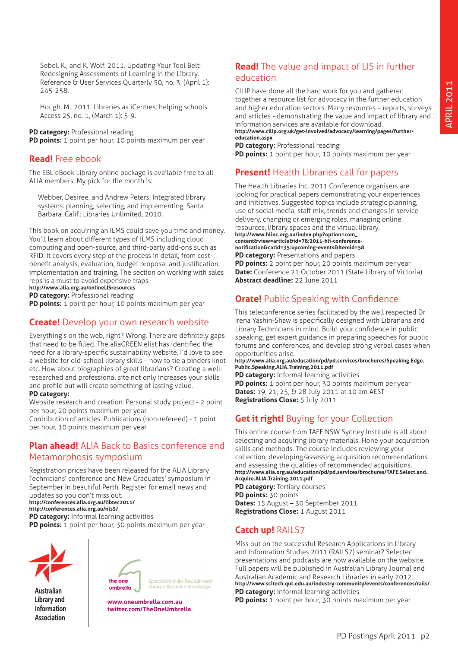Sobel, K., and K. Wolf. 2011. Updating Your Tool Belt: Redesigning Assessments of Learning in the Library. Reference & User Services Quarterly 50, no. 3, (April 1): 245-258.

Hough, M.. 2011. Libraries as iCentres: helping schools. Access 25, no. 1, (March 1): 5-9.

**PD category:** Professional reading

**PD points:** 1 point per hour, 10 points maximum per year

#### **Read!** Free ebook

The EBL eBook Library online package is available free to all ALIA members. My pick for the month is:

Webber, Desiree, and Andrew Peters. Integrated library systems: planning, selecting, and implementing. Santa Barbara, Calif.: Libraries Unlimited, 2010.

This book on acquiring an ILMS could save you time and money. You'll learn about different types of ILMS including cloud computing and open-source, and third-party add-ons such as RFID. It covers every step of the process in detail, from costbenefit analysis, evaluation, budget proposal and justification, implementation and training. The section on working with sales reps is a must to avoid expensive traps. **<http://www.alia.org.au/onlineLISresources>**

**PD category:** Professional reading

**PD points:** 1 point per hour, 10 points maximum per year

#### **Create!** Develop your own research website

Everything's on the web, right? Wrong. There are definitely gaps that need to be filled. The aliaGREEN elist has identified the need for a library-specific sustainability website. I'd love to see a website for old-school library skills – how to tie a binders knot etc. How about biographies of great librarians? Creating a wellresearched and professional site not only increases your skills and profile but will create something of lasting value.

#### **PD category:**

Website research and creation: Personal study project - 2 point per hour, 20 points maximum per year

Contribution of articles: Publications (non-refereed) - 1 point per hour, 10 points maximum per year

#### **Plan ahead!** ALIA Back to Basics conference and Metamorphosis symposium

Registration prices have been released for the ALIA Library Technicians' conference and New Graduates' symposium in September in beautiful Perth. Register for email news and updates so you don't miss out.

**<http://conferences.alia.org.au/libtec2011/> [http://conferences.alia.org.au/nls5/](http://conferences.alia.org.au/libtec2011/)  PD category:** Informal learning activities

**PD points:** 1 point per hour, 30 points maximum per year



**Australian Library and Information Association** 



Specialists in IM Recruitment Library • Records • Knowledge

**www.oneumbrella.com.au twitter.com/TheOneUmbrella**

#### **Read!** The value and impact of LIS in further education

CILIP have done all the hard work for you and gathered together a resource list for advocacy in the further education and higher education sectors. Many resources – reports, surveys and articles - demonstrating the value and impact of library and information services are available for download.

**[http://www.cilip.org.uk/get-involved/advocacy/learning/pages/further](http://www.cilip.org.uk/get-involved/advocacy/learning/pages/further-education.aspx)[education.aspx](http://www.cilip.org.uk/get-involved/advocacy/learning/pages/further-education.aspx) PD category:** Professional reading

**PD points:** 1 point per hour, 10 points maximum per year

## **Present!** Health Libraries call for papers

The Health Libraries Inc. 2011 Conference organisers are looking for practical papers demonstrating your experiences and initiatives. Suggested topics include strategic planning, use of social media, staff mix, trends and changes in service delivery, changing or emerging roles, managing online resources, library spaces and the virtual library. **[http://www.hlinc.org.au/index.php?option=com\\_](http://www.hlinc.org.au/index.php?option=com_content&view=article&id=78:2011-hli-conference-notification&catid=35:upcoming-events&Itemid=58) [content&view=article&id=78:2011-hli-conference](http://www.hlinc.org.au/index.php?option=com_content&view=article&id=78:2011-hli-conference-notification&catid=35:upcoming-events&Itemid=58)[notification&catid=35:upcoming-events&Itemid=58](http://www.hlinc.org.au/index.php?option=com_content&view=article&id=78:2011-hli-conference-notification&catid=35:upcoming-events&Itemid=58)  PD category:** Presentations and papers **PD points:** 2 point per hour, 20 points maximum per year **Date:** Conference 21 October 2011 (State Library of Victoria) **Abstract deadline:** 22 June 2011

## **Orate!** Public Speaking with Confidence

This teleconference series facilitated by the well respected Dr Irena Yashin-Shaw is specifically designed with Librarians and Library Technicians in mind. Build your confidence in public speaking, get expert guidance in preparing speeches for public forums and conferences, and develop strong verbal cases when opportunities arise.

**[http://www.alia.org.au/education/pd/pd.services/brochures/Speaking.Edge.](http://www.alia.org.au/education/pd/pd.services/brochures/Speaking.Edge.Public.Speaking.ALIA.Training.2011.pdf) [Public.Speaking.ALIA.Training.2011.pdf](http://www.alia.org.au/education/pd/pd.services/brochures/Speaking.Edge.Public.Speaking.ALIA.Training.2011.pdf)** 

**PD category:** Informal learning activities **PD points:** 1 point per hour, 30 points maximum per year **Dates:** 19, 21, 25, & 28 July 2011 at 10 am AEST **Registrations Close:** 5 July 2011

## **Get it right!** Buying for your Collection

This online course from TAFE NSW Sydney Institute is all about selecting and acquiring library materials. Hone your acquisition skills and methods. The course includes reviewing your collection, developing/assessing acquisition recommendations and assessing the qualities of recommended acquisitions. **[http://www.alia.org.au/education/pd/pd.services/brochures/TAFE.Select.and.](http://www.alia.org.au/education/pd/pd.services/brochures/TAFE.Select.and.Acquire.ALIA.Training.2011.pdf) [Acquire.ALIA.Training.2011.pdf](http://www.alia.org.au/education/pd/pd.services/brochures/TAFE.Select.and.Acquire.ALIA.Training.2011.pdf)** 

**PD category:** Tertiary courses **PD points:** 30 points **Dates:** 15 August – 30 September 2011 **Registrations Close:** 1 August 2011

## **Catch up!** RAILS7

Miss out on the successful Research Applications in Library and Information Studies 2011 (RAILS7) seminar? Selected presentations and podcasts are now available on the website. Full papers will be published in Australian Library Journal and Australian Academic and Research Libraries in early 2012. **<http://www.scitech.qut.edu.au/industry-community/events/conferences/rails/> PD category:** Informal learning activities

**PD points:** 1 point per hour, 30 points maximum per year